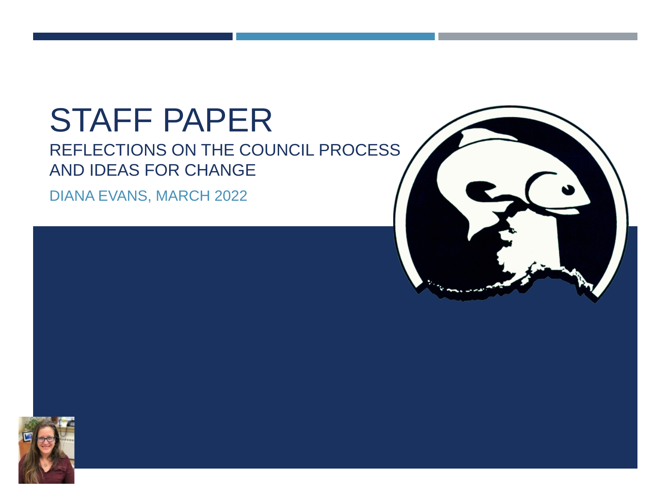# STAFF PAPER

#### REFLECTIONS ON THE COUNCIL PROCESS AND IDEAS FOR CHANGE

DIANA EVANS, MARCH 2022



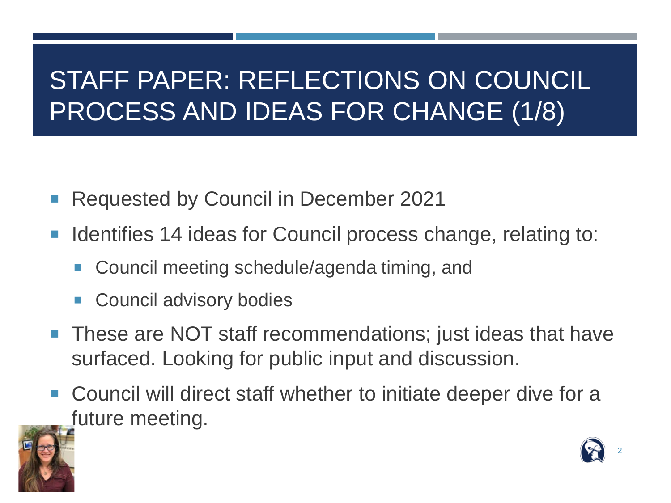### STAFF PAPER: REFLECTIONS ON COUNCIL PROCESS AND IDEAS FOR CHANGE (1/8)

- Requested by Council in December 2021
- **If Identifies 14 ideas for Council process change, relating to:** 
	- Council meeting schedule/agenda timing, and
	- Council advisory bodies
- **These are NOT staff recommendations; just ideas that have** surfaced. Looking for public input and discussion.
- Council will direct staff whether to initiate deeper dive for a future meeting.



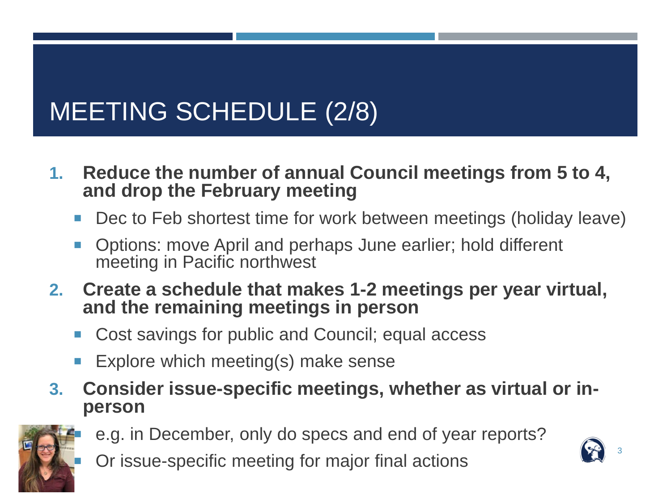### MEETING SCHEDULE (2/8)

- **1. Reduce the number of annual Council meetings from 5 to 4, and drop the February meeting**
	- Dec to Feb shortest time for work between meetings (holiday leave)
	- Options: move April and perhaps June earlier; hold different meeting in Pacific northwest
- **2. Create a schedule that makes 1-2 meetings per year virtual, and the remaining meetings in person**
	- Cost savings for public and Council; equal access
	- **Explore which meeting(s) make sense**
- **3. Consider issue-specific meetings, whether as virtual or in- person**



- e.g. in December, only do specs and end of year reports?
- Or issue-specific meeting for major final actions

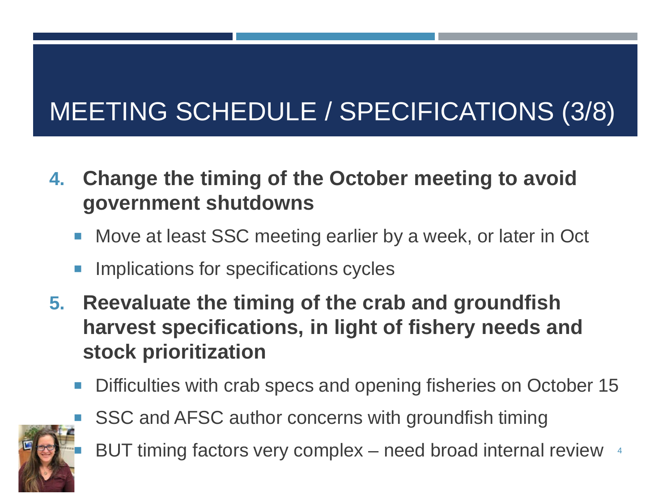## MEETING SCHEDULE / SPECIFICATIONS (3/8)

- **4. Change the timing of the October meeting to avoid government shutdowns**
	- **Move at least SSC meeting earlier by a week, or later in Oct**
	- **IMPLECTIONS FOR SPECIFICATIONS CYCLES**
- **5. Reevaluate the timing of the crab and groundfish harvest specifications, in light of fishery needs and stock prioritization**
	- Difficulties with crab specs and opening fisheries on October 15



- SSC and AFSC author concerns with groundfish timing
- **BUT timing factors very complex** need broad internal review <sup>4</sup>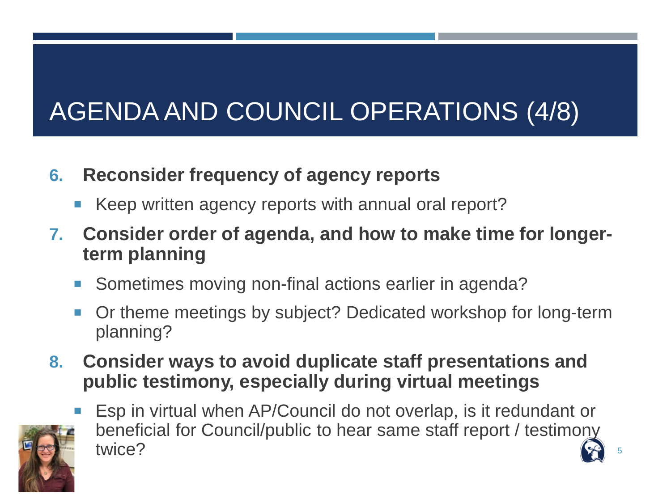## AGENDA AND COUNCIL OPERATIONS (4/8)

#### **6. Reconsider frequency of agency reports**

- Keep written agency reports with annual oral report?
- **7. Consider order of agenda, and how to make time for longerterm planning**
	- Sometimes moving non-final actions earlier in agenda?
	- Or theme meetings by subject? Dedicated workshop for long-term planning?
- **8. Consider ways to avoid duplicate staff presentations and public testimony, especially during virtual meetings**



 Esp in virtual when AP/Council do not overlap, is it redundant or beneficial for Council/public to hear same staff report / testimony twice?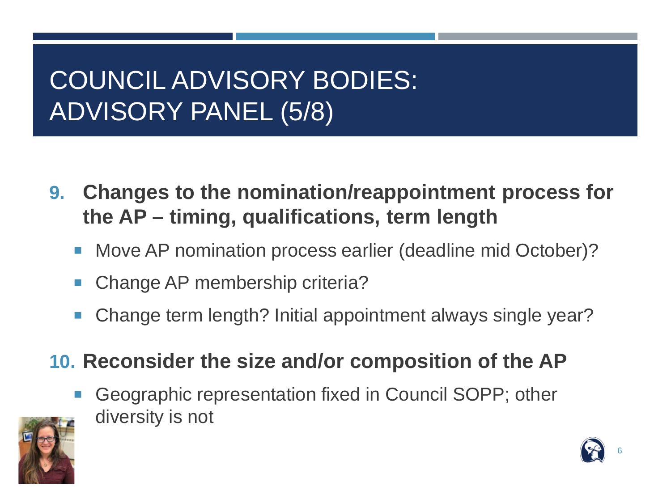### COUNCIL ADVISORY BODIES: ADVISORY PANEL (5/8)

- **9. Changes to the nomination/reappointment process for the AP – timing, qualifications, term length**
	- Move AP nomination process earlier (deadline mid October)?
	- Change AP membership criteria?
	- Change term length? Initial appointment always single year?

#### **10. Reconsider the size and/or composition of the AP**

 Geographic representation fixed in Council SOPP; other diversity is not



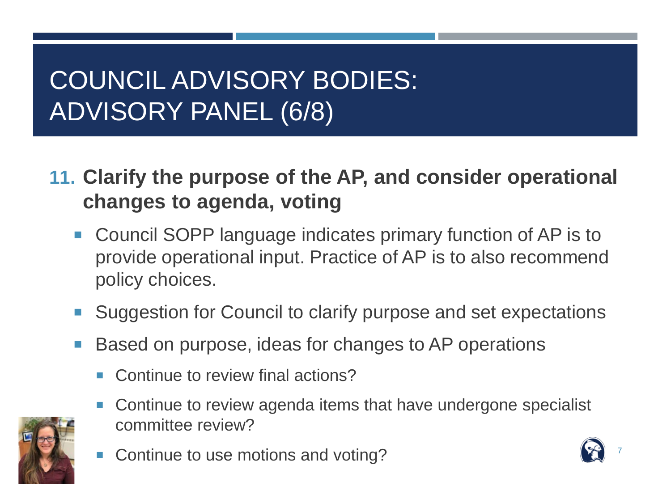### COUNCIL ADVISORY BODIES: ADVISORY PANEL (6/8)

**11. Clarify the purpose of the AP, and consider operational changes to agenda, voting**

- **Council SOPP language indicates primary function of AP is to** provide operational input. Practice of AP is to also recommend policy choices.
- Suggestion for Council to clarify purpose and set expectations
- Based on purpose, ideas for changes to AP operations
	- Continue to review final actions?
	- Continue to review agenda items that have undergone specialist committee review?
	- Continue to use motions and voting?

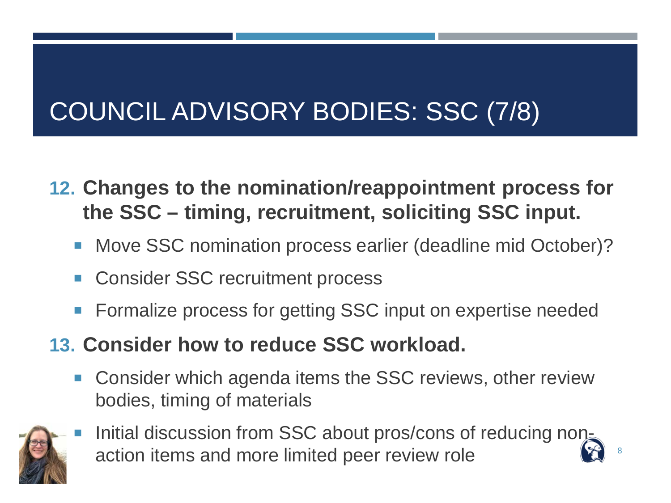## COUNCIL ADVISORY BODIES: SSC (7/8)

- **12. Changes to the nomination/reappointment process for the SSC – timing, recruitment, soliciting SSC input.**
	- Move SSC nomination process earlier (deadline mid October)?
	- Consider SSC recruitment process
	- Formalize process for getting SSC input on expertise needed
- **13. Consider how to reduce SSC workload.**
	- **Consider which agenda items the SSC reviews, other review** bodies, timing of materials



Initial discussion from SSC about pros/cons of reducing nonaction items and more limited peer review role